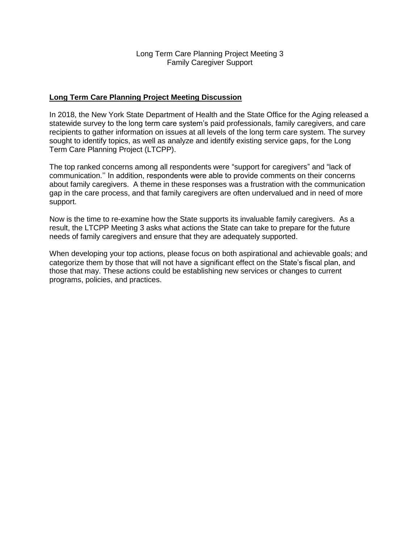## **Long Term Care Planning Project Meeting Discussion**

In 2018, the New York State Department of Health and the State Office for the Aging released a statewide survey to the long term care system's paid professionals, family caregivers, and care recipients to gather information on issues at all levels of the long term care system. The survey sought to identify topics, as well as analyze and identify existing service gaps, for the Long Term Care Planning Project (LTCPP).

The top ranked concerns among all respondents were "support for caregivers" and "lack of communication.'' In addition, respondents were able to provide comments on their concerns about family caregivers. A theme in these responses was a frustration with the communication gap in the care process, and that family caregivers are often undervalued and in need of more support.

Now is the time to re-examine how the State supports its invaluable family caregivers. As a result, the LTCPP Meeting 3 asks what actions the State can take to prepare for the future needs of family caregivers and ensure that they are adequately supported.

When developing your top actions, please focus on both aspirational and achievable goals; and categorize them by those that will not have a significant effect on the State's fiscal plan, and those that may. These actions could be establishing new services or changes to current programs, policies, and practices.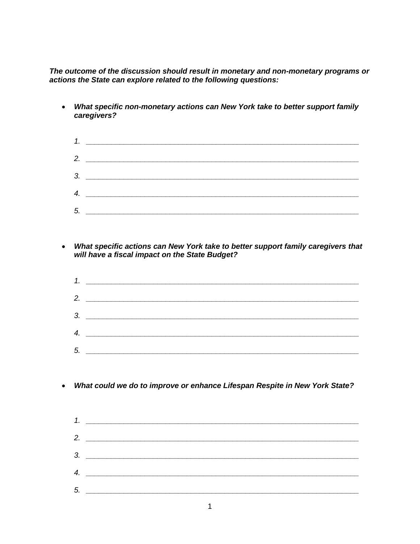The outcome of the discussion should result in monetary and non-monetary programs or actions the State can explore related to the following questions:

• What specific non-monetary actions can New York take to better support family caregivers?

|    | 2. $\qquad \qquad$ |
|----|--------------------|
|    | 3.                 |
|    | 4. $\qquad \qquad$ |
|    |                    |
| 5. |                    |

• What specific actions can New York take to better support family caregivers that will have a fiscal impact on the State Budget?



• What could we do to improve or enhance Lifespan Respite in New York State?

| 4. $\overline{\phantom{a}}$ |
|-----------------------------|
|                             |
|                             |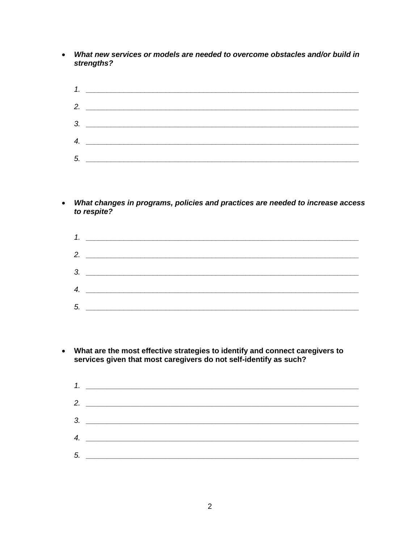• What new services or models are needed to overcome obstacles and/or build in strengths?

| 5. |  |
|----|--|

• What changes in programs, policies and practices are needed to increase access to respite?

|    | 1. $\overline{\phantom{a}}$ |
|----|-----------------------------|
|    |                             |
|    |                             |
|    | 4. $\qquad \qquad$          |
| 5. |                             |

• What are the most effective strategies to identify and connect caregivers to services given that most caregivers do not self-identify as such?

|    | <u> 1980 - Andrea Station Barbara, amerikan per</u>                                                                  |
|----|----------------------------------------------------------------------------------------------------------------------|
|    | 2. $\qquad \qquad$                                                                                                   |
| 3. | <u> 1980 - Andrea Maria Alemania, prima popula</u>                                                                   |
| 4. | <u> 1989 - Johann Stein, mars an deutscher Stein und der Stein und der Stein und der Stein und der Stein und der</u> |
| 5. |                                                                                                                      |
|    |                                                                                                                      |